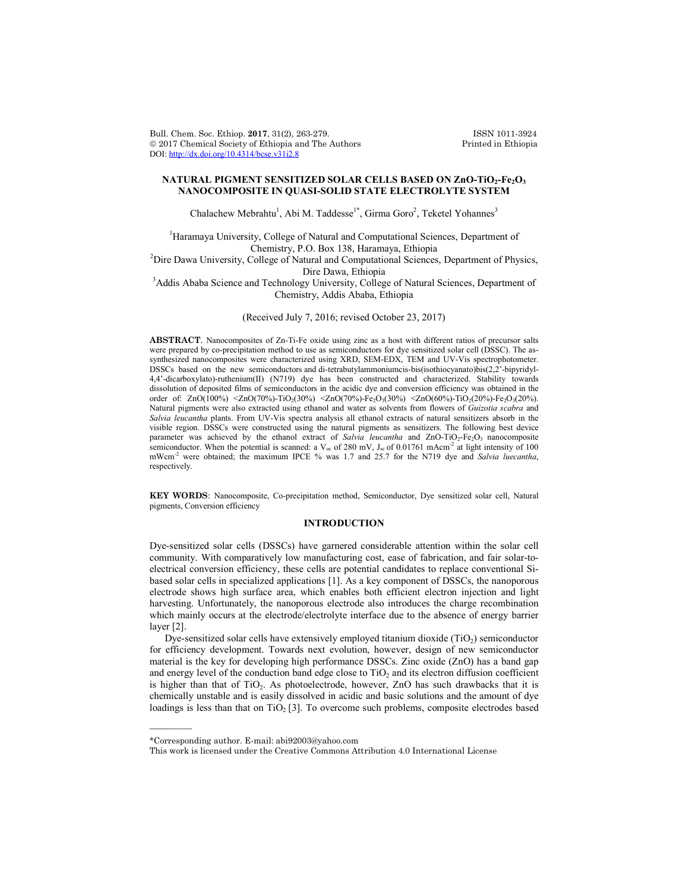Bull. Chem. Soc. Ethiop. **2017**, 31(2), 263-279. ISSN 1011-3924<br>
© 2017 Chemical Society of Ethiopia and The Authors Printed in Ethiopia  $© 2017$  Chemical Society of Ethiopia and The Authors DOI: http://dx.doi.org/10.4314/bcse.v31i2.8

## NATURAL PIGMENT SENSITIZED SOLAR CELLS BASED ON ZnO-TiO<sub>2</sub>-Fe<sub>2</sub>O<sub>3</sub> **NANOCOMPOSITE IN QUASI-SOLID STATE ELECTROLYTE SYSTEM**

Chalachew Mebrahtu<sup>1</sup>, Abi M. Taddesse<sup>1\*</sup>, Girma Goro<sup>2</sup>, Teketel Yohannes<sup>3</sup>

<sup>1</sup>Haramaya University, College of Natural and Computational Sciences, Department of Chemistry, P.O. Box 138, Haramaya, Ethiopia<br><sup>2</sup>Dire Dawa University, College of Natural and Computational Sciences, Department of Physics, Dire Dawa, Ethiopia<br><sup>3</sup>Addis Ababa Science and Technology University, College of Natural Sciences, Department of

Chemistry, Addis Ababa, Ethiopia

(Received July 7, 2016; revised October 23, 2017)

**ABSTRACT**. Nanocomposites of Zn-Ti-Fe oxide using zinc as a host with different ratios of precursor salts were prepared by co-precipitation method to use as semiconductors for dye sensitized solar cell (DSSC). The assynthesized nanocomposites were characterized using XRD, SEM-EDX, TEM and UV-Vis spectrophotometer. DSSCs based on the new semiconductors and di-tetrabutylammoniumcis-bis(isothiocyanato)bis(2,2'-bipyridyl-4,4'-dicarboxylato)-ruthenium(II) (N719) dye has been constructed and characterized. Stability towards dissolution of deposited films of semiconductors in the acidic dye and conversion efficiency was obtained in the order of:  $ZnO(100%)$  < $ZnO(70%)$ -TiO<sub>2</sub>(30%) < $ZnO(70%)$ -Fe<sub>2</sub>O<sub>3</sub>(30%) < $ZnO(60%)$ -TiO<sub>2</sub>(20%)-Fe<sub>2</sub>O<sub>3</sub>(20%). Natural pigments were also extracted using ethanol and water as solvents from flowers of *Guizotia scabra* and *Salvia leucantha* plants. From UV-Vis spectra analysis all ethanol extracts of natural sensitizers absorb in the visible region. DSSCs were constructed using the natural pigments as sensitizers. The following best device parameter was achieved by the ethanol extract of *Salvia leucantha* and ZnO-TiO<sub>2</sub>-Fe<sub>2</sub>O<sub>3</sub> nanocomposite semiconductor. When the potential is scanned: a  $V_{\infty}$  of 280 mV,  $J_{\infty}$  of 0.01761 mAcm<sup>-2</sup> at light intensity of 100 mWcm-2 were obtained; the maximum IPCE % was 1.7 and 25.7 for the N719 dye and *Salvia luecantha*, respectively.

**KEY WORDS**: Nanocomposite, Co-precipitation method, Semiconductor, Dye sensitized solar cell, Natural pigments, Conversion efficiency

## **INTRODUCTION**

Dye-sensitized solar cells (DSSCs) have garnered considerable attention within the solar cell community. With comparatively low manufacturing cost, ease of fabrication, and fair solar-toelectrical conversion efficiency, these cells are potential candidates to replace conventional Sibased solar cells in specialized applications [1]. As a key component of DSSCs, the nanoporous electrode shows high surface area, which enables both efficient electron injection and light harvesting. Unfortunately, the nanoporous electrode also introduces the charge recombination which mainly occurs at the electrode/electrolyte interface due to the absence of energy barrier layer [2].

Dye-sensitized solar cells have extensively employed titanium dioxide  $(TiO<sub>2</sub>)$  semiconductor for efficiency development. Towards next evolution, however, design of new semiconductor material is the key for developing high performance DSSCs. Zinc oxide (ZnO) has a band gap and energy level of the conduction band edge close to  $TiO<sub>2</sub>$  and its electron diffusion coefficient is higher than that of  $TiO<sub>2</sub>$ . As photoelectrode, however, ZnO has such drawbacks that it is chemically unstable and is easily dissolved in acidic and basic solutions and the amount of dye loadings is less than that on  $TiO<sub>2</sub>$  [3]. To overcome such problems, composite electrodes based

 $\overline{\phantom{a}}$ 

<sup>\*</sup>Corresponding author. E-mail: abi92003@yahoo.com

This work is licensed under the Creative Commons Attribution 4.0 International License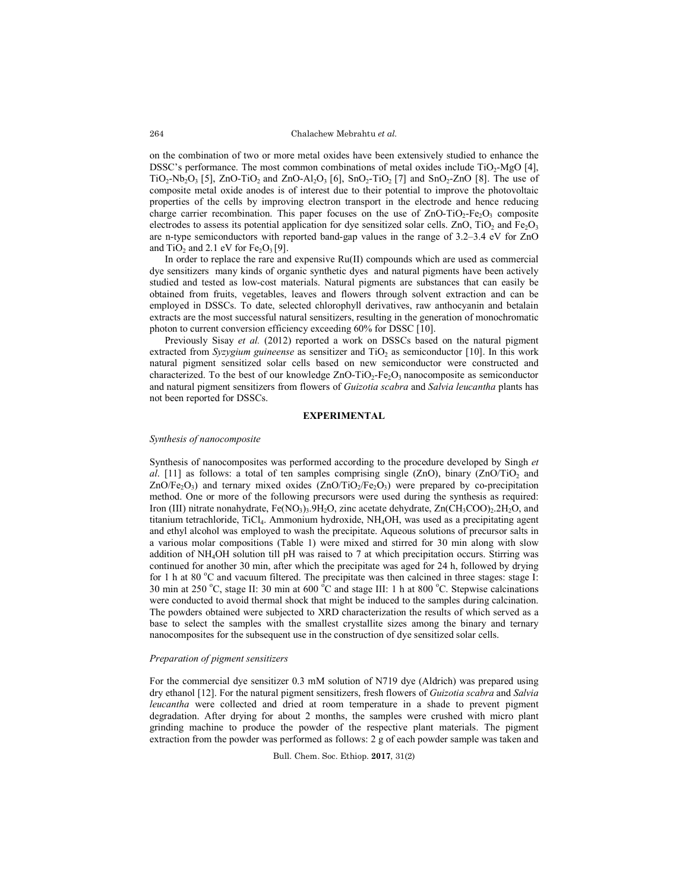on the combination of two or more metal oxides have been extensively studied to enhance the DSSC's performance. The most common combinations of metal oxides include  $TiO<sub>2</sub>-MgO$  [4],  $TiO_2-Nb_2O_3$  [5], ZnO-TiO<sub>2</sub> and ZnO-Al<sub>2</sub>O<sub>3</sub> [6], SnO<sub>2</sub>-TiO<sub>2</sub> [7] and SnO<sub>2</sub>-ZnO [8]. The use of composite metal oxide anodes is of interest due to their potential to improve the photovoltaic properties of the cells by improving electron transport in the electrode and hence reducing charge carrier recombination. This paper focuses on the use of  $ZnO-TiO<sub>2</sub>-Fe<sub>2</sub>O<sub>3</sub>$  composite electrodes to assess its potential application for dye sensitized solar cells. ZnO, TiO<sub>2</sub> and Fe<sub>2</sub>O<sub>3</sub> are n-type semiconductors with reported band-gap values in the range of 3.2–3.4 eV for ZnO and  $TiO<sub>2</sub>$  and 2.1 eV for  $Fe<sub>2</sub>O<sub>3</sub>[9]$ .

In order to replace the rare and expensive Ru(II) compounds which are used as commercial dye sensitizers many kinds of organic synthetic dyes and natural pigments have been actively studied and tested as low-cost materials. Natural pigments are substances that can easily be obtained from fruits, vegetables, leaves and flowers through solvent extraction and can be employed in DSSCs. To date, selected chlorophyll derivatives, raw anthocyanin and betalain extracts are the most successful natural sensitizers, resulting in the generation of monochromatic photon to current conversion efficiency exceeding 60% for DSSC [10].

Previously Sisay et al. (2012) reported a work on DSSCs based on the natural pigment extracted from *Syzygium guineense* as sensitizer and  $TiO<sub>2</sub>$  as semiconductor [10]. In this work natural pigment sensitized solar cells based on new semiconductor were constructed and characterized. To the best of our knowledge  $ZnO-TiO<sub>2</sub>-Fe<sub>2</sub>O<sub>3</sub>$  nanocomposite as semiconductor and natural pigment sensitizers from flowers of *Guizotia scabra* and *Salvia leucantha* plants has not been reported for DSSCs.

## **EXPERIMENTAL**

### *Synthesis of nanocomposite*

Synthesis of nanocomposites was performed according to the procedure developed by Singh *et al.* [11] as follows: a total of ten samples comprising single  $(ZnO)$ , binary  $(ZnO/TiO<sub>2</sub>$  and  $ZnO/Fe<sub>2</sub>O<sub>3</sub>$ ) and ternary mixed oxides  $(ZnO/TiO<sub>2</sub>/Fe<sub>2</sub>O<sub>3</sub>)$  were prepared by co-precipitation method. One or more of the following precursors were used during the synthesis as required: Iron (III) nitrate nonahydrate,  $Fe(NO<sub>3</sub>)<sub>3</sub>$ .9H<sub>2</sub>O, zinc acetate dehydrate,  $Zn(CH<sub>3</sub>COO)<sub>2</sub>$ .2H<sub>2</sub>O, and titanium tetrachloride, TiCl<sub>4</sub>. Ammonium hydroxide, NH<sub>4</sub>OH, was used as a precipitating agent and ethyl alcohol was employed to wash the precipitate. Aqueous solutions of precursor salts in a various molar compositions (Table 1) were mixed and stirred for 30 min along with slow addition of NH4OH solution till pH was raised to 7 at which precipitation occurs. Stirring was continued for another 30 min, after which the precipitate was aged for 24 h, followed by drying for 1 h at 80 °C and vacuum filtered. The precipitate was then calcined in three stages: stage I: 30 min at 250 °C, stage II: 30 min at 600 °C and stage III: 1 h at 800 °C. Stepwise calcinations were conducted to avoid thermal shock that might be induced to the samples during calcination. The powders obtained were subjected to XRD characterization the results of which served as a base to select the samples with the smallest crystallite sizes among the binary and ternary nanocomposites for the subsequent use in the construction of dye sensitized solar cells.

#### *Preparation of pigment sensitizers*

For the commercial dye sensitizer 0.3 mM solution of N719 dye (Aldrich) was prepared using dry ethanol [12]. For the natural pigment sensitizers, fresh flowers of *Guizotia scabra* and *Salvia leucantha* were collected and dried at room temperature in a shade to prevent pigment degradation. After drying for about 2 months, the samples were crushed with micro plant grinding machine to produce the powder of the respective plant materials. The pigment extraction from the powder was performed as follows: 2 g of each powder sample was taken and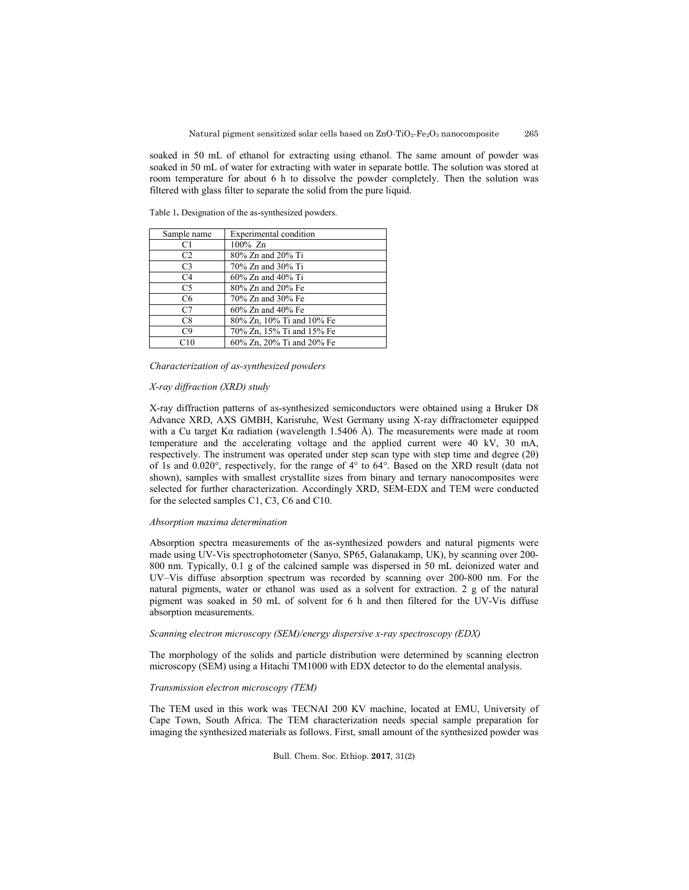soaked in 50 mL of ethanol for extracting using ethanol. The same amount of powder was soaked in 50 mL of water for extracting with water in separate bottle. The solution was stored at room temperature for about 6 h to dissolve the powder completely. Then the solution was filtered with glass filter to separate the solid from the pure liquid.

| Sample name    | Experimental condition    |
|----------------|---------------------------|
| C1             | $100\%$ Zn                |
| C <sub>2</sub> | 80% Zn and 20% Ti         |
| C <sub>3</sub> | 70% Zn and 30% Ti         |
| C4             | 60% Zn and 40% Ti         |
| C5             | 80% Zn and 20% Fe         |
| C <sub>6</sub> | 70% Zn and 30% Fe         |
| C7             | 60% Zn and 40% Fe         |
| C8             | 80% Zn, 10% Ti and 10% Fe |
| C9             | 70% Zn, 15% Ti and 15% Fe |
| C10            | 60% Zn, 20% Ti and 20% Fe |

Table 1**.** Designation of the as-synthesized powders.

*Characterization of as-synthesized powders*

### *X-ray diffraction (XRD) study*

X-ray diffraction patterns of as-synthesized semiconductors were obtained using a Bruker D8 Advance XRD, AXS GMBH, Karisruhe, West Germany using X-ray diffractometer equipped with a Cu target Kα radiation (wavelength 1.5406 Å). The measurements were made at room temperature and the accelerating voltage and the applied current were 40 kV, 30 mA, respectively. The instrument was operated under step scan type with step time and degree (2θ) of 1s and 0.020°, respectively, for the range of 4° to 64°. Based on the XRD result (data not shown), samples with smallest crystallite sizes from binary and ternary nanocomposites were selected for further characterization. Accordingly XRD, SEM-EDX and TEM were conducted for the selected samples C1, C3, C6 and C10.

### *Absorption maxima determination*

Absorption spectra measurements of the as-synthesized powders and natural pigments were made using UV-Vis spectrophotometer (Sanyo, SP65, Galanakamp, UK), by scanning over 200- 800 nm. Typically, 0.1 g of the calcined sample was dispersed in 50 mL deionized water and UV–Vis diffuse absorption spectrum was recorded by scanning over 200-800 nm. For the natural pigments, water or ethanol was used as a solvent for extraction. 2 g of the natural pigment was soaked in 50 mL of solvent for 6 h and then filtered for the UV-Vis diffuse absorption measurements.

### *Scanning electron microscopy (SEM)/energy dispersive x-ray spectroscopy (EDX)*

The morphology of the solids and particle distribution were determined by scanning electron microscopy (SEM) using a Hitachi TM1000 with EDX detector to do the elemental analysis.

### *Transmission electron microscopy (TEM)*

The TEM used in this work was TECNAI 200 KV machine, located at EMU, University of Cape Town, South Africa. The TEM characterization needs special sample preparation for imaging the synthesized materials as follows. First, small amount of the synthesized powder was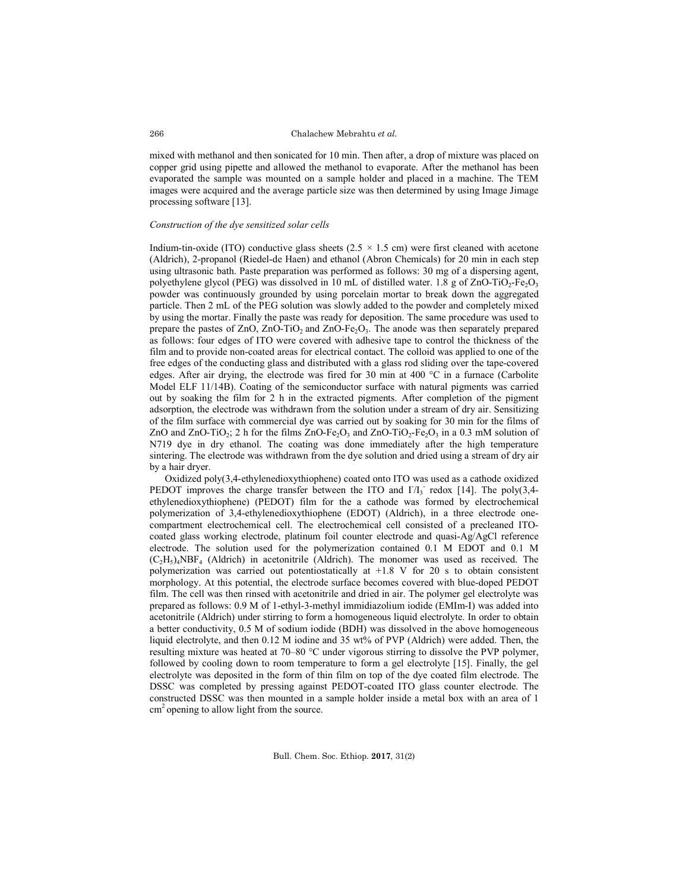mixed with methanol and then sonicated for 10 min. Then after, a drop of mixture was placed on copper grid using pipette and allowed the methanol to evaporate. After the methanol has been evaporated the sample was mounted on a sample holder and placed in a machine. The TEM images were acquired and the average particle size was then determined by using Image Jimage processing software [13].

### *Construction of the dye sensitized solar cells*

Indium-tin-oxide (ITO) conductive glass sheets  $(2.5 \times 1.5 \text{ cm})$  were first cleaned with acetone (Aldrich), 2-propanol (Riedel-de Haen) and ethanol (Abron Chemicals) for 20 min in each step using ultrasonic bath. Paste preparation was performed as follows: 30 mg of a dispersing agent, polyethylene glycol (PEG) was dissolved in 10 mL of distilled water. 1.8 g of  $ZnO-TiO<sub>2</sub>-Fe<sub>2</sub>O<sub>3</sub>$ powder was continuously grounded by using porcelain mortar to break down the aggregated particle. Then 2 mL of the PEG solution was slowly added to the powder and completely mixed by using the mortar. Finally the paste was ready for deposition. The same procedure was used to prepare the pastes of  $ZnO$ ,  $ZnO-TiO<sub>2</sub>$  and  $ZnO-Fe<sub>2</sub>O<sub>3</sub>$ . The anode was then separately prepared as follows: four edges of ITO were covered with adhesive tape to control the thickness of the film and to provide non-coated areas for electrical contact. The colloid was applied to one of the free edges of the conducting glass and distributed with a glass rod sliding over the tape-covered edges. After air drying, the electrode was fired for 30 min at 400  $^{\circ}$ C in a furnace (Carbolite Model ELF 11/14B). Coating of the semiconductor surface with natural pigments was carried out by soaking the film for 2 h in the extracted pigments. After completion of the pigment adsorption, the electrode was withdrawn from the solution under a stream of dry air. Sensitizing of the film surface with commercial dye was carried out by soaking for 30 min for the films of ZnO and ZnO-TiO<sub>2</sub>; 2 h for the films ZnO-Fe<sub>2</sub>O<sub>3</sub> and ZnO-TiO<sub>2</sub>-Fe<sub>2</sub>O<sub>3</sub> in a 0.3 mM solution of N719 dye in dry ethanol. The coating was done immediately after the high temperature sintering. The electrode was withdrawn from the dye solution and dried using a stream of dry air by a hair dryer.

Oxidized poly(3,4-ethylenedioxythiophene) coated onto ITO was used as a cathode oxidized PEDOT improves the charge transfer between the ITO and  $I/I_3$  redox [14]. The poly(3,4ethylenedioxythiophene) (PEDOT) film for the a cathode was formed by electrochemical polymerization of 3,4-ethylenedioxythiophene (EDOT) (Aldrich), in a three electrode onecompartment electrochemical cell. The electrochemical cell consisted of a precleaned ITOcoated glass working electrode, platinum foil counter electrode and quasi-Ag/AgCl reference electrode. The solution used for the polymerization contained 0.1 M EDOT and 0.1 M  $(C_2H_5)_4NBF_4$  (Aldrich) in acetonitrile (Aldrich). The monomer was used as received. The polymerization was carried out potentiostatically at +1.8 V for 20 s to obtain consistent morphology. At this potential, the electrode surface becomes covered with blue-doped PEDOT film. The cell was then rinsed with acetonitrile and dried in air. The polymer gel electrolyte was prepared as follows: 0.9 M of 1-ethyl-3-methyl immidiazolium iodide (EMIm-I) was added into acetonitrile (Aldrich) under stirring to form a homogeneous liquid electrolyte. In order to obtain a better conductivity, 0.5 M of sodium iodide (BDH) was dissolved in the above homogeneous liquid electrolyte, and then 0.12 M iodine and 35 wt% of PVP (Aldrich) were added. Then, the resulting mixture was heated at 70–80 °C under vigorous stirring to dissolve the PVP polymer, followed by cooling down to room temperature to form a gel electrolyte [15]. Finally, the gel electrolyte was deposited in the form of thin film on top of the dye coated film electrode. The DSSC was completed by pressing against PEDOT-coated ITO glass counter electrode. The constructed DSSC was then mounted in a sample holder inside a metal box with an area of 1 cm<sup>2</sup> opening to allow light from the source.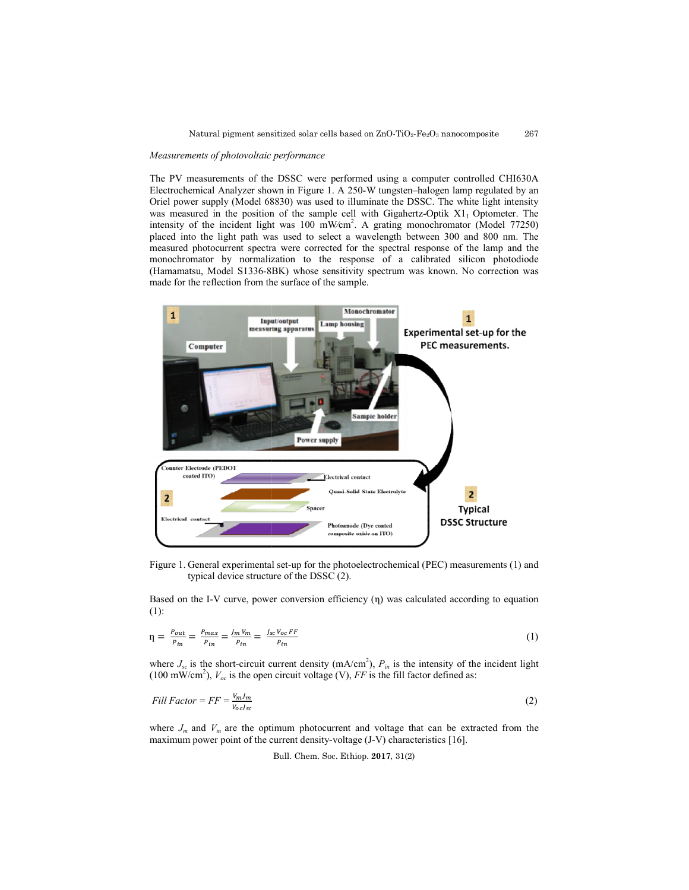### *Measurements of photovoltaic performance*

The PV measurements of the DSSC were performed using a computer controlled CHI630A The PV measurements of the DSSC were performed using a computer controlled CHI630A Electrochemical Analyzer shown in Figure 1. A 250-W tungsten–halogen lamp regulated by an Oriel power supply (Model 68830) was used to illuminate the DSSC. The white light intensity was measured in the position of the sample cell with Gigahertz intensity of the incident light was 100 mW placed into the light path was used to select a wavelength between 300 and 800 nm. The measured photocurrent spectra were corrected for the spectral response of the lamp and the monochromator by normalization to the response of a calibrated silicon photodiode (Hamamatsu, Model S1336-8BK) whose sensitivity spectrum was known. No correction was made for the reflection from the surface of the sample. Gigahertz-Optik  $X1_1$  Optometer. The mW∕cm2 . A grating monochromator (Model 77250) tra were corrected for the spectral response of the lamp and the lization to the response of a calibrated silicon photodiode 8BK) whose sensitivity spectrum was known. No correction was



Figure 1. General experimental set-up for the photoelectrochemical (PEC) measurements (1) and typical device structure of the DSSC (2).

Based on the I-V curve, power conversion efficiency  $(\eta)$  was calculated according to equation (1):

$$
\eta = \frac{P_{out}}{P_{in}} = \frac{P_{max}}{P_{in}} = \frac{J_m V_m}{P_{in}} = \frac{J_{sc} V_{oc} FF}{P_{in}}
$$
\n
$$
\tag{1}
$$

where *J<sub>sc</sub>* is the short-circuit current density (mA/cm<sup>2</sup>), *P<sub>in</sub>* is the intensity of the incident light (100 mW/cm<sup>2</sup>), *V<sub>oc</sub>* is the open circuit voltage (V), *FF* is the fill factor defined as:<br>*Fill Factor* = *F* (100 mW/cm<sup>2</sup>),  $V_{oc}$  is the open circuit voltage (V), FF is the fill factor defined as:

$$
Fill Factor = FF = \frac{v_{m}l_{m}}{v_{oc}l_{sc}}
$$
\n<sup>(2)</sup>

where  $J_m$  and  $V_m$  are the optimum photocurrent and voltage that can be extracted from the maximum power point of the current density-voltage (J-V) characteristics [16].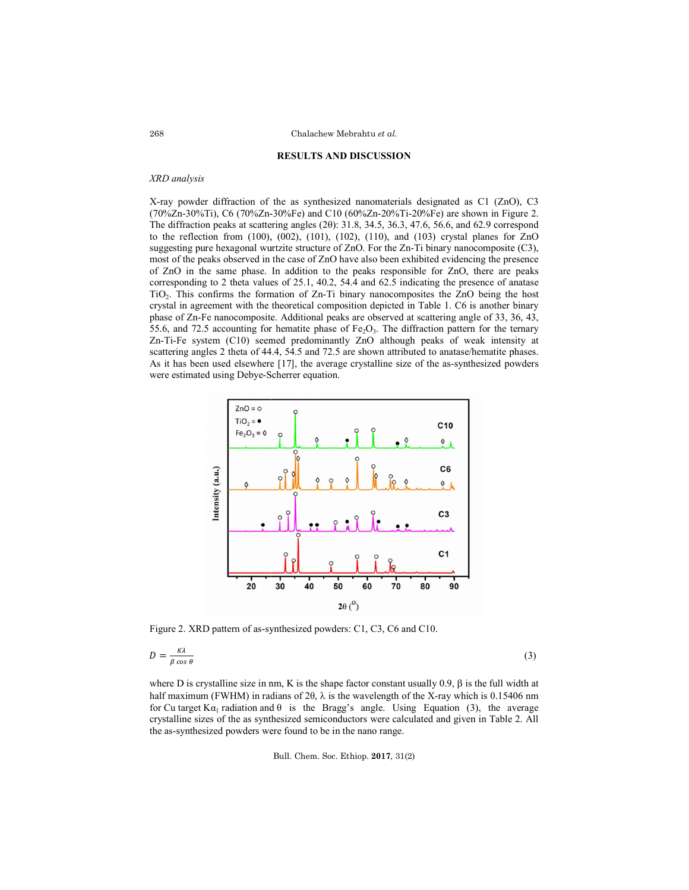### **RESULTS AND DISCUSSION**

## *XRD analysis*

X-ray powder diffraction of the as synthesized nanomaterials designated as C1 (ZnO), C3 X-ray powder diffraction of the as synthesized nanomaterials designated as C1 (ZnO), C3<br>(70%Zn-30%Ti), C6 (70%Zn-30%Fe) and C10 (60%Zn-20%Ti-20%Fe) are shown in Figure 2. The diffraction peaks at scattering angles (2θ): 31.8, 34.5, 36.3, 47.6, 56.6, and 62.9 correspond to the reflection from (100), (002), (101), (102), (110), and (103) crystal planes for ZnO to the reflection from (100), (002), (101), (102), (110), and (103) crystal planes for ZnO suggesting pure hexagonal wurtzite structure of ZnO. For the Zn-Ti binary nanocomposite (C3), most of the peaks observed in the case of ZnO have also been exhibited evidencing the presence of ZnO in the same phase. In addition to the peaks responsible for ZnO, there are peaks corresponding to 2 theta values of 25.1, 40.2, 54.4 and 62.5 indicating the presence of anatase TiO<sub>2</sub>. This confirms the formation of Zn-Ti binary nanocomposites the ZnO being the host crystal in agreement with the theoretical composition depicted in Table 1. C6 is another binary crystal in agreement with the theoretical composition depicted in Table 1. C6 is another binary phase of Zn-Fe nanocomposite. Additional peaks are observed at scattering angle of 33, 36, 43, 55.6, and 72.5 accounting for hematite phase of  $Fe<sub>2</sub>O<sub>3</sub>$ . The diffraction pattern for the ternary Zn-Ti-Fe system (C10) seemed predominantly ZnO although peaks of weak intensity at Zn-Ti-Fe system (C10) seemed predominantly ZnO although peaks of weak intensity at scattering angles 2 theta of 44.4, 54.5 and 72.5 are shown attributed to anatase/hematite phases. As it has been used elsewhere [17], the average crystalline size of the as-synthesized powders were estimated using Debye-Scherrer Scherrer equation. ks observed in the case of ZnO have also been exhibited evidencing the presence same phase. In addition to the peaks responsible for ZnO, there are peaks to 2 theta values of  $25.1$ ,  $40.2$ ,  $54.4$  and  $62.5$  indicating t iny is power diffraction of the as synthesized part and the from (17.6), C3 (200), C4 (2) (3) (10), (10) (10), (10), (10), (10), (10), (10), (10), (10), (10), (10), (10), (10), (10), (10), (10), (10), (10), (10), (10), (1



Figure 2. XRD pattern of as-synthesized powders: C1, C3, C6 and C10.

Figure 2. XRD pattern of as-synthesized powders: C1, C3, C6 and C10.  
\n
$$
D = \frac{\kappa \lambda}{\beta \cos \theta}
$$
\n(3)  
\nwhere D is crystalline size in nm, K is the shape factor constant usually 0.9, β is the full width at

half maximum (FWHM) in radians of 2 $\theta$ ,  $\lambda$  is the wavelength of the X-ray which is 0.15406 nm for Cu target K $\alpha_1$  radiation and  $\theta$  is the Bragg's angle. Using Equation (3), the average crystalline sizes of the as synthesized semiconductors were calculated and given in Table 2. All the as-synthesized powders were found to be in the nano range. half maximum (FWHM) in radians of 20,  $\lambda$  is the wavelength of the X-ray which is for Cu target K $\alpha_1$  radiation and  $\theta$  is the Bragg's angle. Using Equation (3), to crystalline sizes of the as synthesized semiconducto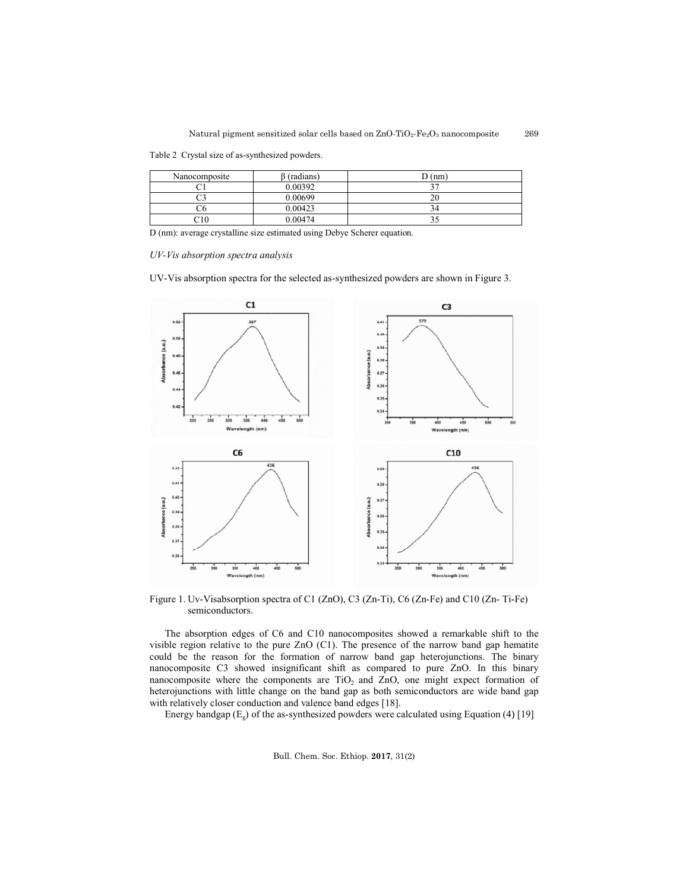Table 2 Crystal size of as-synthesized powders.

| Nanocomposite | (radians) | D(nm) |
|---------------|-----------|-------|
|               | 0.00392   |       |
|               | 0.00699   | ∠∪    |
|               | 0.00423   |       |
| C10           | 0.00474   |       |

D (nm): average crystalline size estimated using Debye Scherer equation.

*UV-Vis absorption spectra analysis*

UV-Vis absorption spectra for the selected as-synthesized powders are shown in Figure 3.



Figure 1. Uv-Visabsorption spectra of C1 (ZnO), C3 (Zn-Ti), C6 (Zn-Fe) and C10 (Zn-Ti-Fe) semiconductors.

The absorption edges of C6 and C10 nanocomposites showed a remarkable shift to the visible region relative to the pure ZnO (C1). The presence of the narrow band gap hematite could be the reason for the formation of narrow band gap heterojunctions. The binary nanocomposite C3 showed insignificant shift as compared to pure ZnO. In this binary nanocomposite where the components are  $TiO<sub>2</sub>$  and  $ZnO$ , one might expect formation of heterojunctions with little change on the band gap as both semiconductors are wide band gap with relatively closer conduction and valence band edges [18]. with relatively closer conduction and valence band edges [18]. (C1). The presence of the narrow band gap hematite<br>1 of narrow band gap heterojunctions. The binary<br>1t shift as compared to pure ZnO. In this binary eason for the formation of narrow band gap heterojunctions. The C3 showed insignificant shift as compared to pure ZnO. In this where the components are TiO<sub>2</sub> and ZnO, one might expect forma with little change on the band

Energy bandgap ( $E_g$ ) of the as-synthesized powders were calculated using Equation (4) [19]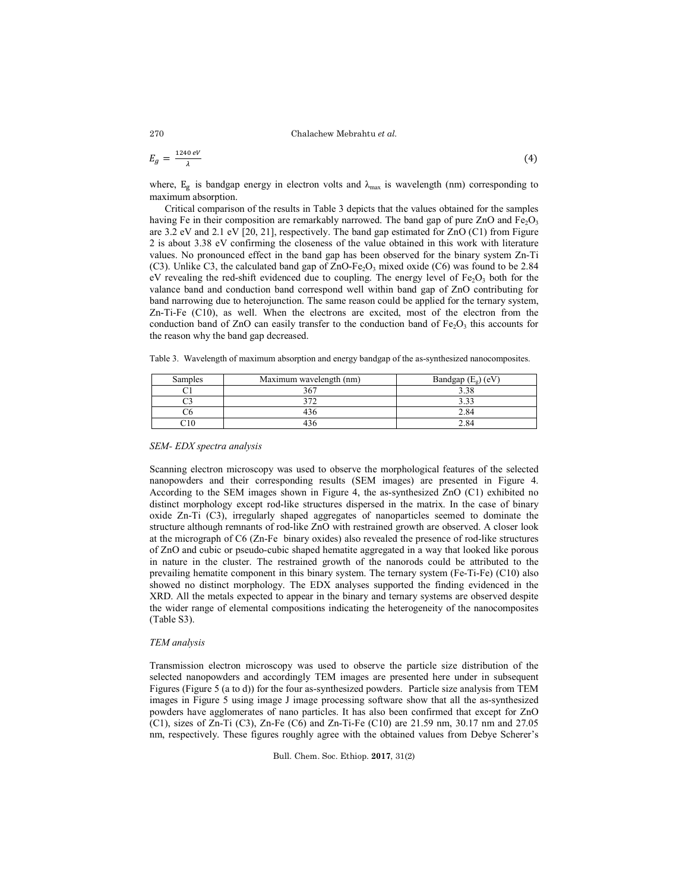$$
E_g = \frac{1240 \text{ eV}}{\lambda} \tag{4}
$$

where,  $E_g$  is bandgap energy in electron volts and  $\lambda_{\text{max}}$  is wavelength (nm) corresponding to maximum absorption.

Critical comparison of the results in Table 3 depicts that the values obtained for the samples having Fe in their composition are remarkably narrowed. The band gap of pure ZnO and Fe<sub>2</sub>O<sub>3</sub> are 3.2 eV and 2.1 eV [20, 21], respectively. The band gap estimated for ZnO (C1) from Figure 2 is about 3.38 eV confirming the closeness of the value obtained in this work with literature values. No pronounced effect in the band gap has been observed for the binary system Zn-Ti (C3). Unlike C3, the calculated band gap of ZnO-Fe<sub>2</sub>O<sub>3</sub> mixed oxide (C6) was found to be 2.84 eV revealing the red-shift evidenced due to coupling. The energy level of  $Fe<sub>2</sub>O<sub>3</sub>$  both for the valance band and conduction band correspond well within band gap of ZnO contributing for band narrowing due to heterojunction. The same reason could be applied for the ternary system, Zn-Ti-Fe (C10), as well. When the electrons are excited, most of the electron from the conduction band of  $ZnO$  can easily transfer to the conduction band of  $Fe<sub>2</sub>O<sub>3</sub>$  this accounts for the reason why the band gap decreased.

Table 3. Wavelength of maximum absorption and energy bandgap of the as-synthesized nanocomposites.

| Samples | Maximum wavelength (nm) | Bandgap $(E_{g})$ (eV) |  |
|---------|-------------------------|------------------------|--|
|         | 367                     |                        |  |
|         | ר ה                     |                        |  |
|         | 49 C                    |                        |  |
|         |                         |                        |  |

### *SEM- EDX spectra analysis*

Scanning electron microscopy was used to observe the morphological features of the selected nanopowders and their corresponding results (SEM images) are presented in Figure 4. According to the SEM images shown in Figure 4, the as-synthesized ZnO (C1) exhibited no distinct morphology except rod-like structures dispersed in the matrix. In the case of binary oxide Zn-Ti (C3), irregularly shaped aggregates of nanoparticles seemed to dominate the structure although remnants of rod-like ZnO with restrained growth are observed. A closer look at the micrograph of C6 (Zn-Fe binary oxides) also revealed the presence of rod-like structures of ZnO and cubic or pseudo-cubic shaped hematite aggregated in a way that looked like porous in nature in the cluster. The restrained growth of the nanorods could be attributed to the prevailing hematite component in this binary system. The ternary system (Fe-Ti-Fe) (C10) also showed no distinct morphology. The EDX analyses supported the finding evidenced in the XRD. All the metals expected to appear in the binary and ternary systems are observed despite the wider range of elemental compositions indicating the heterogeneity of the nanocomposites (Table S3).

### *TEM analysis*

Transmission electron microscopy was used to observe the particle size distribution of the selected nanopowders and accordingly TEM images are presented here under in subsequent Figures (Figure 5 (a to d)) for the four as-synthesized powders. Particle size analysis from TEM images in Figure 5 using image J image processing software show that all the as-synthesized powders have agglomerates of nano particles. It has also been confirmed that except for ZnO (C1), sizes of Zn-Ti (C3), Zn-Fe (C6) and Zn-Ti-Fe (C10) are 21.59 nm, 30.17 nm and 27.05 nm, respectively. These figures roughly agree with the obtained values from Debye Scherer's

Bull. Chem. Soc. Ethiop. **2017**, 31(2)

270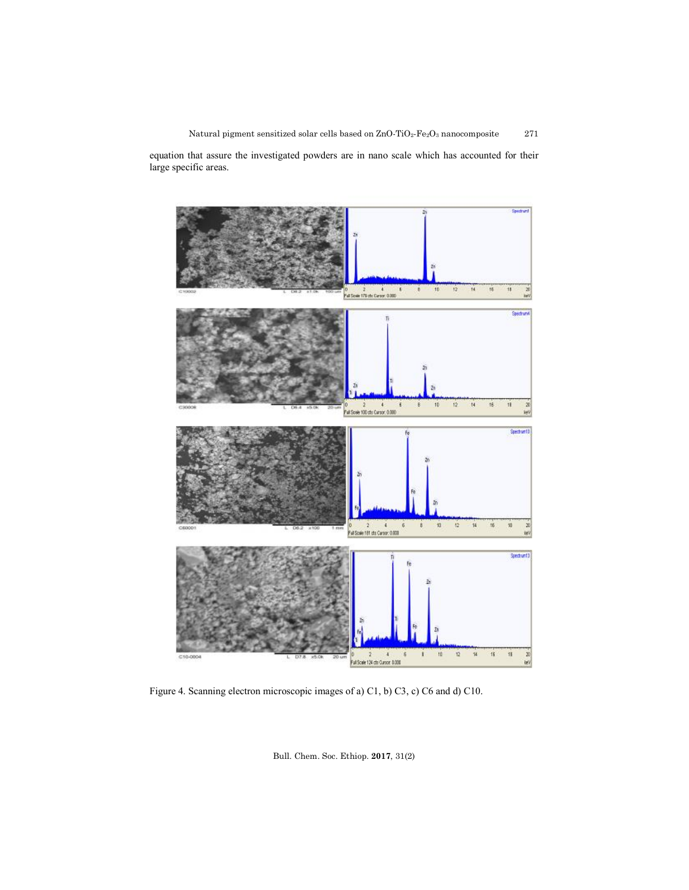Natural pigment sensitized solar cells based on  $\text{ZnO-TiO}_2\text{-}\text{Fe}_2\text{O}_3$  nanocomposite 271

equation that assure the investigated powders are in nano scale which has accounted for their large specific areas.



Figure 4. Scanning electron microscopic images of a) C1, b) C3, c) C6 and d) C10.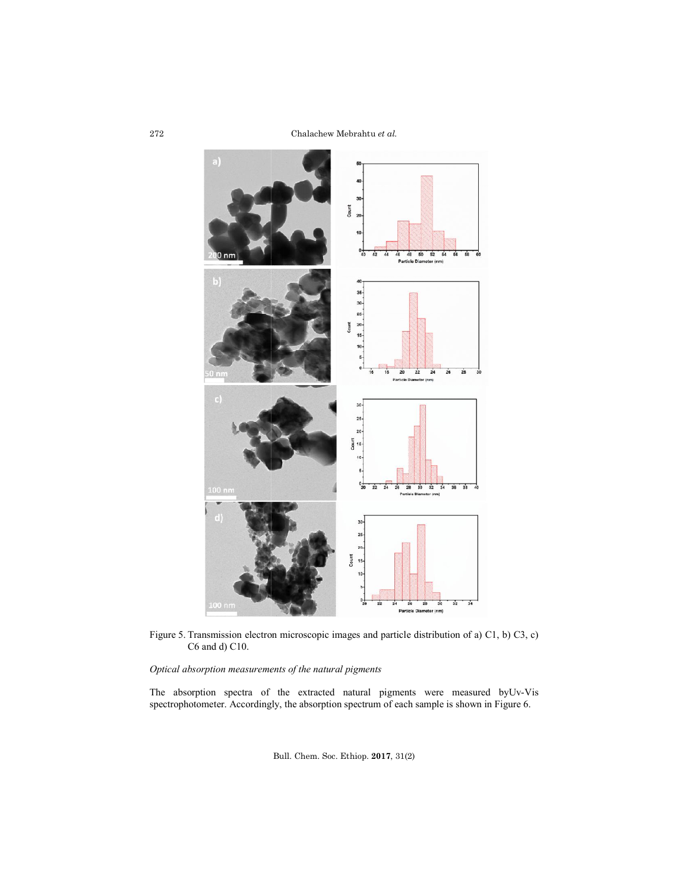

Figure 5. Transmission electron microscop C6 and d) C10. microscopic images and particle distribution of a) C1, b) C3, c)

*Optical absorption measurements of the natural pigments*

The absorption spectra of the extracted natural pigments were measured by spectrophotometer. Accordingly, of the extracted natural pigments were measured by Uv the absorption spectrum of each sample is shown in Figure 6. Uv-Vis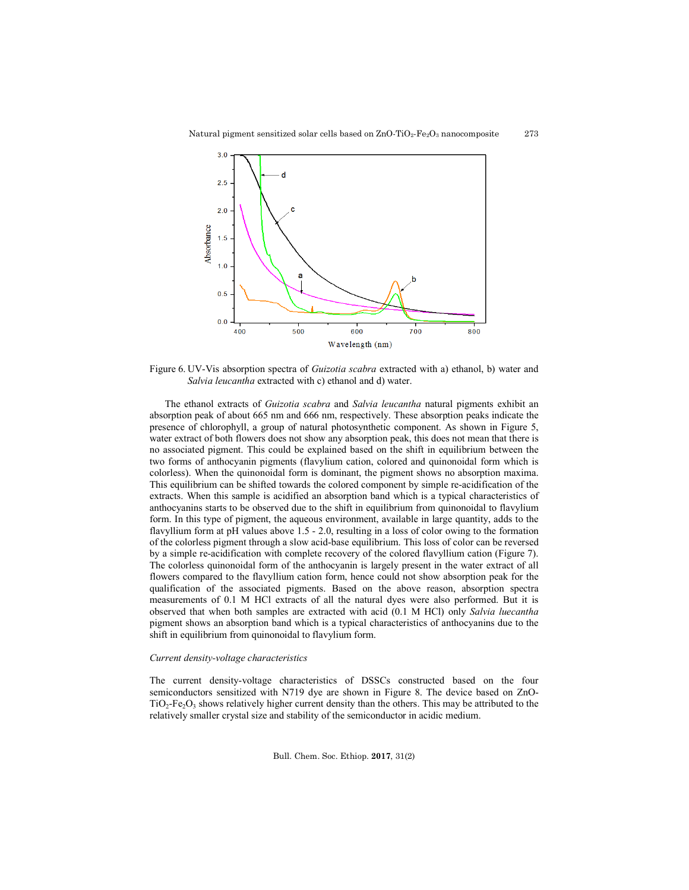

Figure 6. UV-Vis absorption spectra of *Guizotia scabra* extracted with a) ethanol, b) water and *Salvia leucantha* extracted with c) ethanol and d) water.

The ethanol extracts of *Guizotia scabra* and *Salvia leucantha* natural pigments exhibit an absorption peak of about 665 nm and 666 nm, respectively. These absorption peaks indicate the presence of chlorophyll, a group of natural photosynthetic component. As shown in Figure 5, water extract of both flowers does not show any absorption peak, this does not mean that there is no associated pigment. This could be explained based on the shift in equilibrium between the two forms of anthocyanin pigments (flavylium cation, colored and quinonoidal form which is colorless). When the quinonoidal form is dominant, the pigment shows no absorption maxima. This equilibrium can be shifted towards the colored component by simple re-acidification of the extracts. When this sample is acidified an absorption band which is a typical characteristics of anthocyanins starts to be observed due to the shift in equilibrium from quinonoidal to flavylium form. In this type of pigment, the aqueous environment, available in large quantity, adds to the flavyllium form at pH values above 1.5 - 2.0, resulting in a loss of color owing to the formation of the colorless pigment through a slow acid-base equilibrium. This loss of color can be reversed by a simple re-acidification with complete recovery of the colored flavyllium cation (Figure 7). The colorless quinonoidal form of the anthocyanin is largely present in the water extract of all flowers compared to the flavyllium cation form, hence could not show absorption peak for the qualification of the associated pigments. Based on the above reason, absorption spectra measurements of 0.1 M HCl extracts of all the natural dyes were also performed. But it is observed that when both samples are extracted with acid (0.1 M HCl) only *Salvia luecantha* pigment shows an absorption band which is a typical characteristics of anthocyanins due to the shift in equilibrium from quinonoidal to flavylium form.

### *Current density-voltage characteristics*

The current density-voltage characteristics of DSSCs constructed based on the four semiconductors sensitized with N719 dye are shown in Figure 8. The device based on ZnO- $TiO<sub>2</sub>-Fe<sub>2</sub>O<sub>3</sub>$  shows relatively higher current density than the others. This may be attributed to the relatively smaller crystal size and stability of the semiconductor in acidic medium.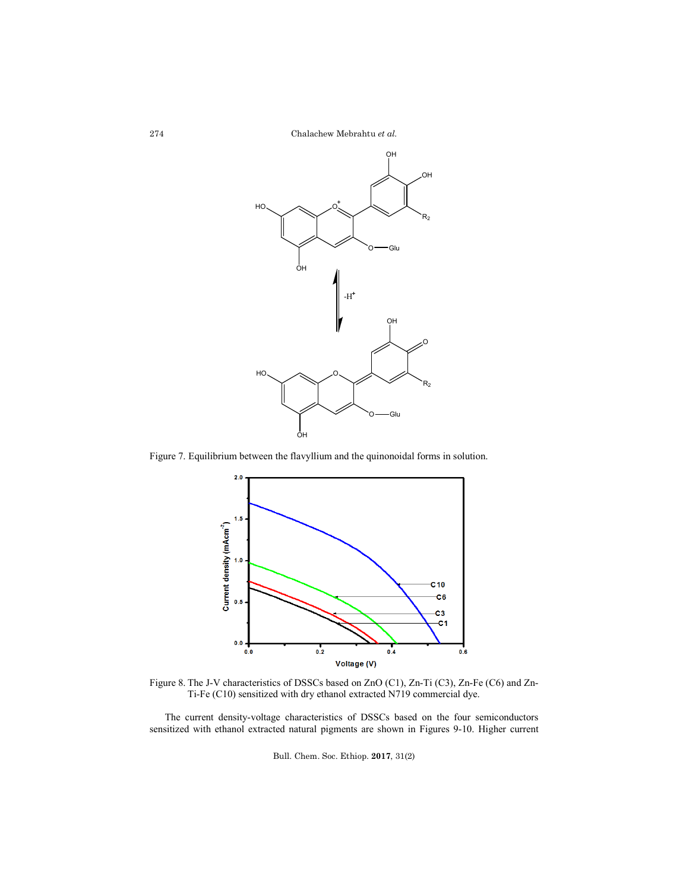Chalachew Mebrahtu *et al.*



Figure 7. Equilibrium between the flavyllium and the quinonoidal forms in solution.



Figure 8. The J-V characteristics of DSSCs based on ZnO (C1), Zn-Ti (C3), Zn-Fe (C6) and Zn-Ti-Fe (C10) sensitized with dry ethanol extracted N719 commercial dye.

The current density-voltage characteristics of DSSCs based on the four semiconductors sensitized with ethanol extracted natural pigments are shown in Figures 9-10. Higher current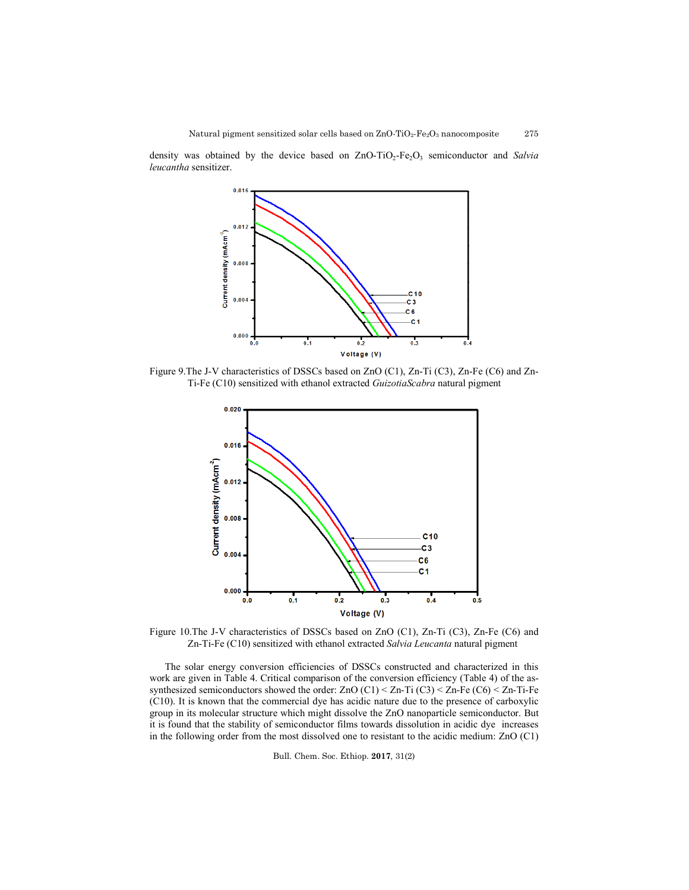density was obtained by the device based on ZnO-TiO<sub>2</sub>-Fe<sub>2</sub>O<sub>3</sub> semiconductor and *Salvia leucantha* sensitizer.

![](_page_12_Figure_2.jpeg)

Figure 9.The J-V characteristics of DSSCs based on ZnO (C1), Zn-Ti (C3), Zn-Fe (C6) and Zn-Ti-Fe (C10) sensitized with ethanol extracted *GuizotiaScabra* natural pigment

![](_page_12_Figure_4.jpeg)

Figure 10.The J-V characteristics of DSSCs based on ZnO (C1), Zn-Ti (C3), Zn-Fe (C6) and Zn-Ti-Fe (C10) sensitized with ethanol extracted *Salvia Leucanta* natural pigment

The solar energy conversion efficiencies of DSSCs constructed and characterized in this work are given in Table 4. Critical comparison of the conversion efficiency (Table 4) of the assynthesized semiconductors showed the order: ZnO  $(C1)$  < Zn-Ti  $(C3)$  < Zn-Fe  $(C6)$  < Zn-Ti-Fe (C10). It is known that the commercial dye has acidic nature due to the presence of carboxylic group in its molecular structure which might dissolve the ZnO nanoparticle semiconductor. But it is found that the stability of semiconductor films towards dissolution in acidic dye increases in the following order from the most dissolved one to resistant to the acidic medium: ZnO (C1)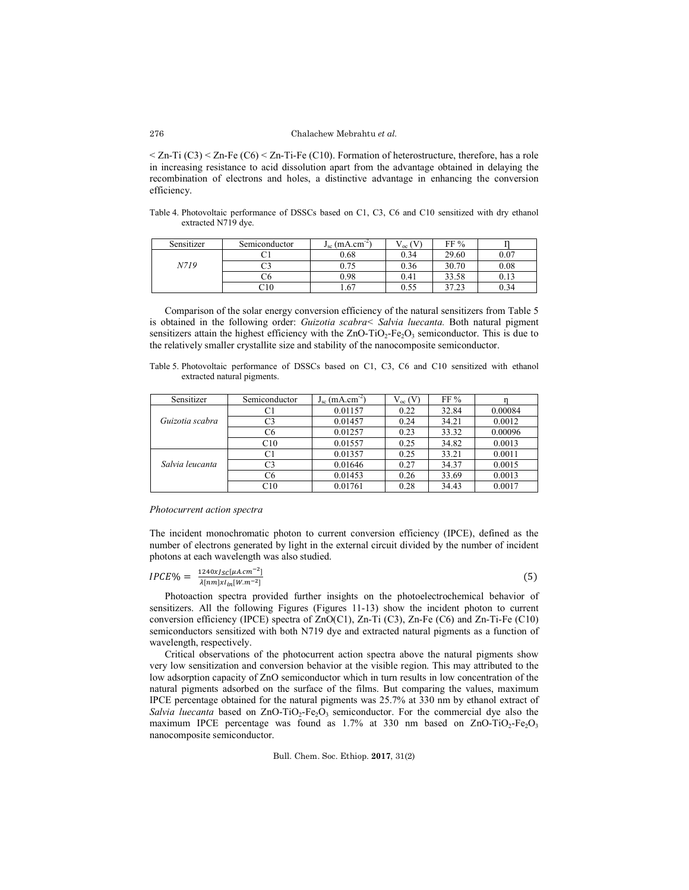$\leq$  Zn-Ti (C3)  $\leq$  Zn-Fe (C6)  $\leq$  Zn-Ti-Fe (C10). Formation of heterostructure, therefore, has a role in increasing resistance to acid dissolution apart from the advantage obtained in delaying the recombination of electrons and holes, a distinctive advantage in enhancing the conversion efficiency.

Table 4. Photovoltaic performance of DSSCs based on C1, C3, C6 and C10 sensitized with dry ethanol extracted N719 dye.

| Sensitizer | Semiconductor | $J_{sc}$ (mA.cm | Voc  | FF%   |      |
|------------|---------------|-----------------|------|-------|------|
|            |               | 0.68            | 0.34 | 29.60 | 0.07 |
| N719       | o<br>رب       | 0.75            | 0.36 | 30.70 | 0.08 |
|            | Ċ٥.           | 0.98            | 0.41 | 33.58 | 0.13 |
|            | C10           | 1.67            | 0.55 | 37.23 | 0.34 |

Comparison of the solar energy conversion efficiency of the natural sensitizers from Table 5 is obtained in the following order: *Guizotia scabra< Salvia luecanta.* Both natural pigment sensitizers attain the highest efficiency with the  $ZnO-TiO<sub>2</sub>-Fe<sub>2</sub>O<sub>3</sub>$  semiconductor. This is due to the relatively smaller crystallite size and stability of the nanocomposite semiconductor.

Table 5. Photovoltaic performance of DSSCs based on C1, C3, C6 and C10 sensitized with ethanol extracted natural pigments.

| Sensitizer      | Semiconductor  | $J_{sc}$ (mA.cm <sup>-2</sup> ) | $V_{oc}$ (V) | FF%   |         |
|-----------------|----------------|---------------------------------|--------------|-------|---------|
|                 |                | 0.01157                         | 0.22         | 32.84 | 0.00084 |
| Guizotia scabra | C3             | 0.01457                         | 0.24         | 34.21 | 0.0012  |
|                 | C6             | 0.01257                         | 0.23         | 33.32 | 0.00096 |
|                 | C10            | 0.01557                         | 0.25         | 34.82 | 0.0013  |
| Salvia leucanta | C1             | 0.01357                         | 0.25         | 33.21 | 0.0011  |
|                 | C <sub>3</sub> | 0.01646                         | 0.27         | 34.37 | 0.0015  |
|                 | C <sub>6</sub> | 0.01453                         | 0.26         | 33.69 | 0.0013  |
|                 | C10            | 0.01761                         | 0.28         | 34.43 | 0.0017  |

#### *Photocurrent action spectra*

The incident monochromatic photon to current conversion efficiency (IPCE), defined as the number of electrons generated by light in the external circuit divided by the number of incident photons at each wavelength was also studied.

$$
IPCE\% = \frac{1240x}{\lambda [nm]x1_{in}[W.m^{-2}]}\tag{5}
$$

Photoaction spectra provided further insights on the photoelectrochemical behavior of sensitizers. All the following Figures (Figures 11-13) show the incident photon to current conversion efficiency (IPCE) spectra of  $ZnO(C1)$ ,  $Zn-Ti(C3)$ ,  $Zn-Fe(C6)$  and  $Zn-Ti-Fe(C10)$ semiconductors sensitized with both N719 dye and extracted natural pigments as a function of wavelength, respectively.

Critical observations of the photocurrent action spectra above the natural pigments show very low sensitization and conversion behavior at the visible region. This may attributed to the low adsorption capacity of ZnO semiconductor which in turn results in low concentration of the natural pigments adsorbed on the surface of the films. But comparing the values, maximum IPCE percentage obtained for the natural pigments was 25.7% at 330 nm by ethanol extract of *Salvia luecanta* based on  $ZnO-TiO_2-Fe_2O_3$  semiconductor. For the commercial dye also the maximum IPCE percentage was found as  $1.7\%$  at 330 nm based on ZnO-TiO<sub>2</sub>-Fe<sub>2</sub>O<sub>3</sub> nanocomposite semiconductor.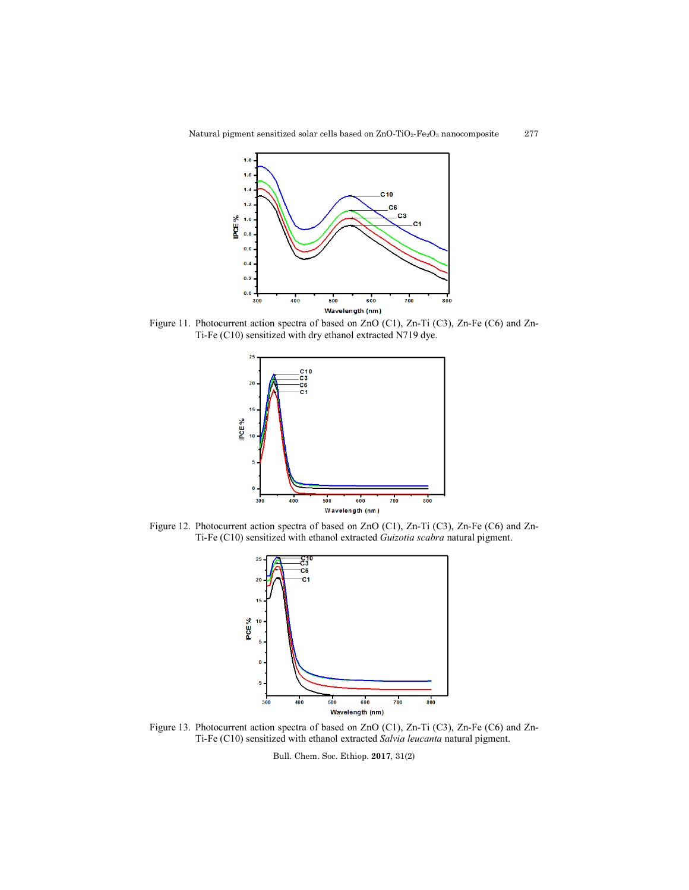![](_page_14_Figure_0.jpeg)

![](_page_14_Figure_1.jpeg)

Figure 11. Photocurrent action spectra of based on ZnO (C1), Zn-Ti (C3), Zn-Fe (C6) and Zn-Ti-Fe (C10) sensitized with dry ethanol extracted N719 dye.

![](_page_14_Figure_3.jpeg)

Figure 12. Photocurrent action spectra of based on ZnO (C1), Zn-Ti (C3), Zn-Fe (C6) and Zn-Ti-Fe (C10) sensitized with ethanol extracted *Guizotia scabra* natural pigment.

![](_page_14_Figure_5.jpeg)

Figure 13. Photocurrent action spectra of based on ZnO (C1), Zn-Ti (C3), Zn-Fe (C6) and Zn-Ti-Fe (C10) sensitized with ethanol extracted *Salvia leucanta* natural pigment.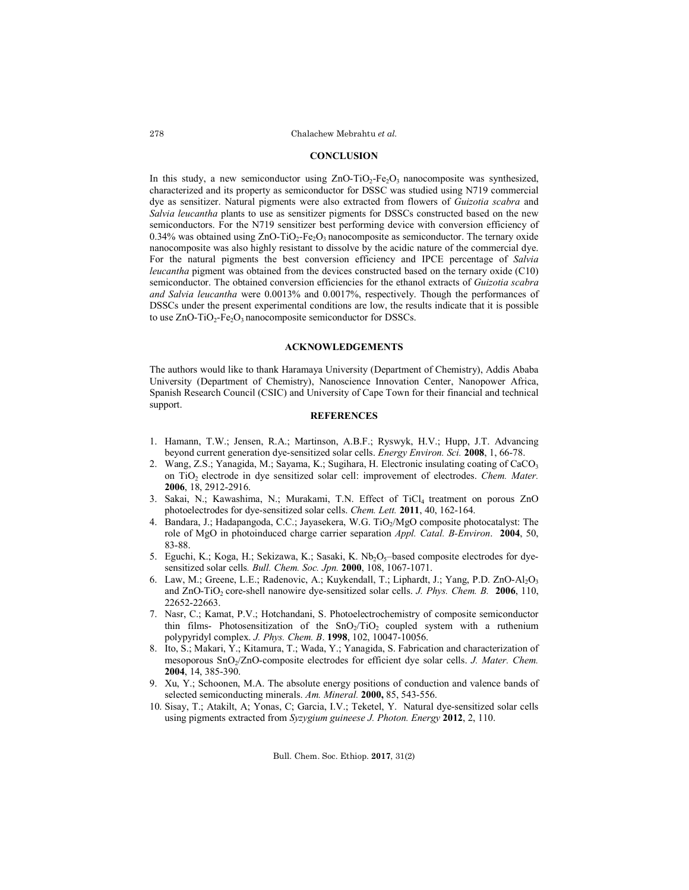## **CONCLUSION**

In this study, a new semiconductor using  $ZnO-TiO<sub>2</sub>-Fe<sub>2</sub>O<sub>3</sub>$  nanocomposite was synthesized, characterized and its property as semiconductor for DSSC was studied using N719 commercial dye as sensitizer. Natural pigments were also extracted from flowers of *Guizotia scabra* and *Salvia leucantha* plants to use as sensitizer pigments for DSSCs constructed based on the new semiconductors. For the N719 sensitizer best performing device with conversion efficiency of 0.34% was obtained using  $ZnO-TiO<sub>2</sub>-Fe<sub>2</sub>O<sub>3</sub>$  nanocomposite as semiconductor. The ternary oxide nanocomposite was also highly resistant to dissolve by the acidic nature of the commercial dye. For the natural pigments the best conversion efficiency and IPCE percentage of *Salvia leucantha* pigment was obtained from the devices constructed based on the ternary oxide (C10) semiconductor. The obtained conversion efficiencies for the ethanol extracts of *Guizotia scabra and Salvia leucantha* were 0.0013% and 0.0017%, respectively. Though the performances of DSSCs under the present experimental conditions are low, the results indicate that it is possible to use  $ZnO-TiO<sub>2</sub>-Fe<sub>2</sub>O<sub>3</sub>$  nanocomposite semiconductor for DSSCs.

## **ACKNOWLEDGEMENTS**

The authors would like to thank Haramaya University (Department of Chemistry), Addis Ababa University (Department of Chemistry), Nanoscience Innovation Center, Nanopower Africa, Spanish Research Council (CSIC) and University of Cape Town for their financial and technical support.

# **REFERENCES**

- 1. Hamann, T.W.; Jensen, R.A.; Martinson, A.B.F.; Ryswyk, H.V.; Hupp, J.T. Advancing beyond current generation dye-sensitized solar cells. *Energy Environ. Sci.* **2008**, 1, 66-78.
- 2. Wang, Z.S.; Yanagida, M.; Sayama, K.; Sugihara, H. Electronic insulating coating of CaCO<sub>3</sub> on TiO2 electrode in dye sensitized solar cell: improvement of electrodes. *Chem. Mater.* **2006**, 18, 2912-2916.
- 3. Sakai, N.; Kawashima, N.; Murakami, T.N. Effect of TiCl4 treatment on porous ZnO photoelectrodes for dye-sensitized solar cells. *Chem. Lett.* **2011**, 40, 162-164.
- 4. Bandara, J.; Hadapangoda, C.C.; Jayasekera, W.G. TiO<sub>2</sub>/MgO composite photocatalyst: The role of MgO in photoinduced charge carrier separation *Appl. Catal. B-Environ*. **2004**, 50, 83-88.
- 5. Eguchi, K.; Koga, H.; Sekizawa, K.; Sasaki, K. Nb<sub>2</sub>O<sub>5</sub>-based composite electrodes for dyesensitized solar cells*. Bull. Chem. Soc. Jpn.* **2000**, 108, 1067-1071.
- 6. Law, M.; Greene, L.E.; Radenovic, A.; Kuykendall, T.; Liphardt, J.; Yang, P.D. ZnO-Al<sub>2</sub>O<sub>3</sub> and ZnO-TiO2 core-shell nanowire dye-sensitized solar cells. *J. Phys. Chem. B.* **2006**, 110, 22652-22663.
- 7. Nasr, C.; Kamat, P.V.; Hotchandani, S. Photoelectrochemistry of composite semiconductor thin films- Photosensitization of the  $SnO<sub>2</sub>/TiO<sub>2</sub>$  coupled system with a ruthenium polypyridyl complex. *J. Phys. Chem. B*. **1998**, 102, 10047-10056.
- 8. Ito, S.; Makari, Y.; Kitamura, T.; Wada, Y.; Yanagida, S. Fabrication and characterization of mesoporous SnO<sub>2</sub>/ZnO-composite electrodes for efficient dye solar cells. *J. Mater. Chem.* **2004**, 14, 385-390.
- 9. Xu, Y.; Schoonen, M.A. The absolute energy positions of conduction and valence bands of selected semiconducting minerals. *Am. Mineral.* **2000,** 85, 543-556.
- 10. Sisay, T.; Atakilt, A; Yonas, C; Garcia, I.V.; Teketel, Y. Natural dye-sensitized solar cells using pigments extracted from *Syzygium guineese J. Photon. Energy* **2012**, 2, 110.